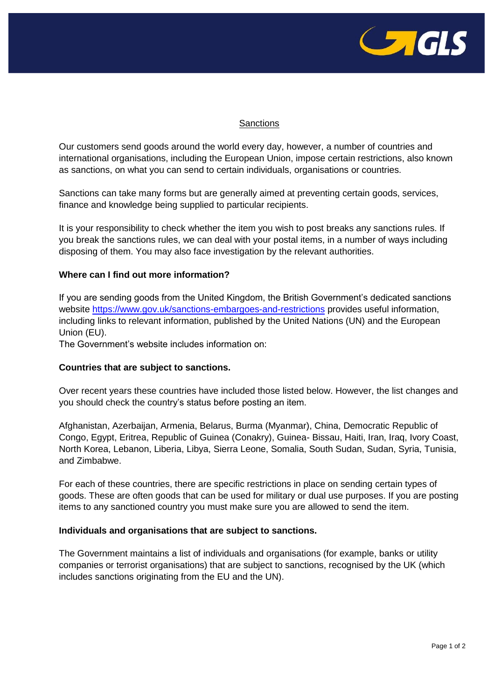

## **Sanctions**

Our customers send goods around the world every day, however, a number of countries and international organisations, including the European Union, impose certain restrictions, also known as sanctions, on what you can send to certain individuals, organisations or countries.

Sanctions can take many forms but are generally aimed at preventing certain goods, services, finance and knowledge being supplied to particular recipients.

It is your responsibility to check whether the item you wish to post breaks any sanctions rules. If you break the sanctions rules, we can deal with your postal items, in a number of ways including disposing of them. You may also face investigation by the relevant authorities.

## **Where can I find out more information?**

If you are sending goods from the United Kingdom, the British Government's dedicated sanctions website<https://www.gov.uk/sanctions-embargoes-and-restrictions> provides useful information, including links to relevant information, published by the United Nations (UN) and the European Union (EU).

The Government's website includes information on:

## **Countries that are subject to sanctions.**

Over recent years these countries have included those listed below. However, the list changes and you should check the country's status before posting an item.

Afghanistan, Azerbaijan, Armenia, Belarus, Burma (Myanmar), China, Democratic Republic of Congo, Egypt, Eritrea, Republic of Guinea (Conakry), Guinea- Bissau, Haiti, Iran, Iraq, Ivory Coast, North Korea, Lebanon, Liberia, Libya, Sierra Leone, Somalia, South Sudan, Sudan, Syria, Tunisia, and Zimbabwe.

For each of these countries, there are specific restrictions in place on sending certain types of goods. These are often goods that can be used for military or dual use purposes. If you are posting items to any sanctioned country you must make sure you are allowed to send the item.

## **Individuals and organisations that are subject to sanctions.**

The Government maintains a list of individuals and organisations (for example, banks or utility companies or terrorist organisations) that are subject to sanctions, recognised by the UK (which includes sanctions originating from the EU and the UN).